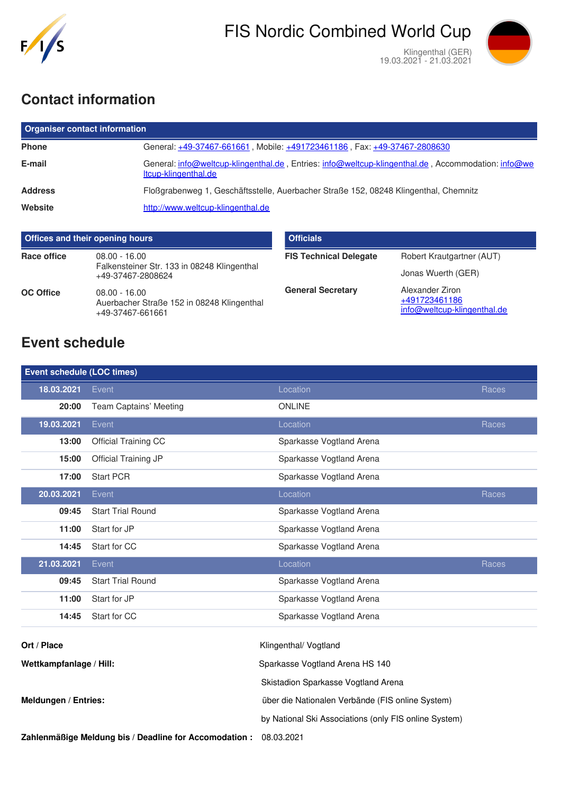

19.03.2021 - 21.03.2021



# **Contact information**

| <b>Organiser contact information</b> |                                                                                                                            |  |  |  |
|--------------------------------------|----------------------------------------------------------------------------------------------------------------------------|--|--|--|
| <b>Phone</b>                         | General: +49-37467-661661, Mobile: +491723461186, Fax: +49-37467-2808630                                                   |  |  |  |
| E-mail                               | General: info@weltcup-klingenthal.de, Entries: info@weltcup-klingenthal.de, Accommodation: info@we<br>Itcup-klingenthal.de |  |  |  |
| <b>Address</b>                       | Floßgrabenweg 1, Geschäftsstelle, Auerbacher Straße 152, 08248 Klingenthal, Chemnitz                                       |  |  |  |
| Website                              | http://www.weltcup-klingenthal.de                                                                                          |  |  |  |

| <b>Offices and their opening hours</b> |                                                                                   | <b>Officials</b>              |                                                                 |
|----------------------------------------|-----------------------------------------------------------------------------------|-------------------------------|-----------------------------------------------------------------|
| Race office                            | $08.00 - 16.00$<br>Falkensteiner Str. 133 in 08248 Klingenthal                    | <b>FIS Technical Delegate</b> | Robert Krautgartner (AUT)                                       |
|                                        | +49-37467-2808624                                                                 |                               | Jonas Wuerth (GER)                                              |
| <b>OC Office</b>                       | $08.00 - 16.00$<br>Auerbacher Straße 152 in 08248 Klingenthal<br>+49-37467-661661 | <b>General Secretary</b>      | Alexander Ziron<br>+491723461186<br>info@weltcup-klingenthal.de |

# **Event schedule**

| <b>Event schedule (LOC times)</b> |                               |                                                       |       |
|-----------------------------------|-------------------------------|-------------------------------------------------------|-------|
| 18.03.2021                        | Event                         | Location                                              | Races |
| 20:00                             | <b>Team Captains' Meeting</b> | <b>ONLINE</b>                                         |       |
| 19.03.2021                        | Event                         | Location                                              | Races |
| 13:00                             | Official Training CC          | Sparkasse Vogtland Arena                              |       |
| 15:00                             | Official Training JP          | Sparkasse Vogtland Arena                              |       |
| 17:00                             | <b>Start PCR</b>              | Sparkasse Vogtland Arena                              |       |
| 20.03.2021                        | Event                         | Location                                              | Races |
| 09:45                             | <b>Start Trial Round</b>      | Sparkasse Vogtland Arena                              |       |
| 11:00                             | Start for JP                  | Sparkasse Vogtland Arena                              |       |
| 14:45                             | Start for CC                  | Sparkasse Vogtland Arena                              |       |
| 21.03.2021                        | Event                         | Location                                              | Races |
| 09:45                             | <b>Start Trial Round</b>      | Sparkasse Vogtland Arena                              |       |
| 11:00                             | Start for JP                  | Sparkasse Vogtland Arena                              |       |
|                                   |                               |                                                       |       |
| 14:45                             | Start for CC                  | Sparkasse Vogtland Arena                              |       |
| Ort / Place                       |                               | Klingenthal/ Vogtland                                 |       |
| Wettkampfanlage / Hill:           |                               | Sparkasse Vogtland Arena HS 140                       |       |
|                                   |                               | Skistadion Sparkasse Vogtland Arena                   |       |
| Meldungen / Entries:              |                               | über die Nationalen Verbände (FIS online System)      |       |
|                                   |                               | by National Ski Associations (only FIS online System) |       |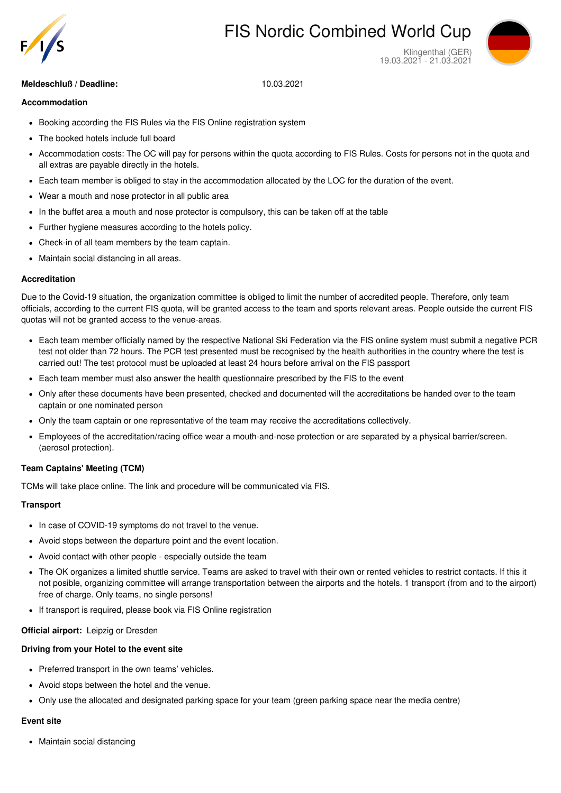

# FIS Nordic Combined World Cup



Klingenthal (GER) 19.03.2021 - 21.03.2021

# **Meldeschluß / Deadline:** 10.03.2021

## **Accommodation**

- Booking according the FIS Rules via the FIS Online registration system
- The booked hotels include full board  $\bullet$
- Accommodation costs: The OC will pay for persons within the quota according to FIS Rules. Costs for persons not in the quota and all extras are payable directly in the hotels.
- Each team member is obliged to stay in the accommodation allocated by the LOC for the duration of the event.
- Wear a mouth and nose protector in all public area
- In the buffet area a mouth and nose protector is compulsory, this can be taken off at the table
- Further hygiene measures according to the hotels policy.
- Check-in of all team members by the team captain.
- Maintain social distancing in all areas.

#### **Accreditation**

Due to the Covid-19 situation, the organization committee is obliged to limit the number of accredited people. Therefore, only team officials, according to the current FIS quota, will be granted access to the team and sports relevant areas. People outside the current FIS quotas will not be granted access to the venue-areas.

- Each team member officially named by the respective National Ski Federation via the FIS online system must submit a negative PCR test not older than 72 hours. The PCR test presented must be recognised by the health authorities in the country where the test is carried out! The test protocol must be uploaded at least 24 hours before arrival on the FIS passport
- Each team member must also answer the health questionnaire prescribed by the FIS to the event
- Only after these documents have been presented, checked and documented will the accreditations be handed over to the team captain or one nominated person
- Only the team captain or one representative of the team may receive the accreditations collectively.
- Employees of the accreditation/racing office wear a mouth-and-nose protection or are separated by a physical barrier/screen. (aerosol protection).

# **Team Captains' Meeting (TCM)**

TCMs will take place online. The link and procedure will be communicated via FIS.

#### **Transport**

- In case of COVID-19 symptoms do not travel to the venue.
- Avoid stops between the departure point and the event location.
- Avoid contact with other people especially outside the team
- The OK organizes a limited shuttle service. Teams are asked to travel with their own or rented vehicles to restrict contacts. If this it not posible, organizing committee will arrange transportation between the airports and the hotels. 1 transport (from and to the airport) free of charge. Only teams, no single persons!
- If transport is required, please book via FIS Online registration

#### **Official airport:** Leipzig or Dresden

#### **Driving from your Hotel to the event site**

- Preferred transport in the own teams' vehicles.
- Avoid stops between the hotel and the venue.
- Only use the allocated and designated parking space for your team (green parking space near the media centre)

#### **Event site**

• Maintain social distancing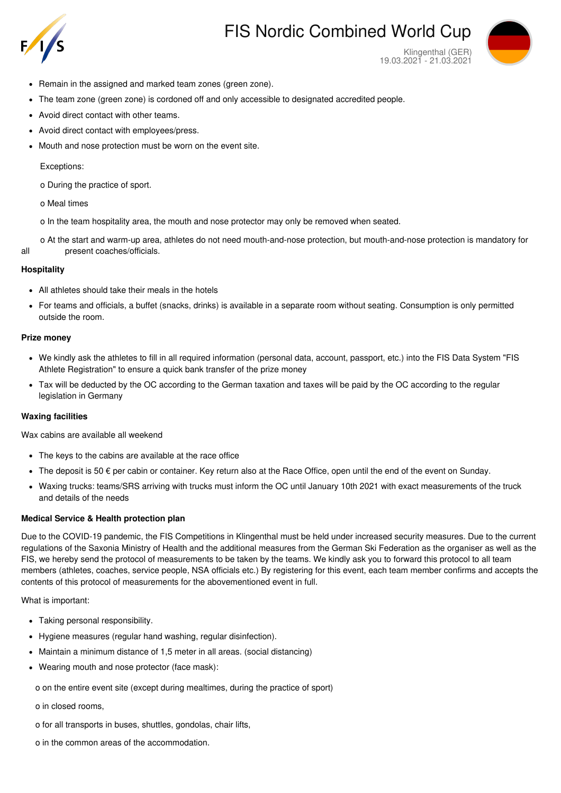

# FIS Nordic Combined World Cup



Klingenthal (GER) 19.03.2021 - 21.03.2021

- Remain in the assigned and marked team zones (green zone).
- The team zone (green zone) is cordoned off and only accessible to designated accredited people.  $\bullet$
- Avoid direct contact with other teams.  $\bullet$
- Avoid direct contact with employees/press.
- Mouth and nose protection must be worn on the event site.  $\bullet$

Exceptions:

- o During the practice of sport.
- o Meal times
- o In the team hospitality area, the mouth and nose protector may only be removed when seated.

o At the start and warm-up area, athletes do not need mouth-and-nose protection, but mouth-and-nose protection is mandatory for all present coaches/officials.

## **Hospitality**

- All athletes should take their meals in the hotels
- For teams and officials, a buffet (snacks, drinks) is available in a separate room without seating. Consumption is only permitted  $\bullet$ outside the room.

## **Prize money**

- We kindly ask the athletes to fill in all required information (personal data, account, passport, etc.) into the FIS Data System "FIS Athlete Registration" to ensure a quick bank transfer of the prize money
- Tax will be deducted by the OC according to the German taxation and taxes will be paid by the OC according to the regular legislation in Germany

# **Waxing facilities**

Wax cabins are available all weekend

- The keys to the cabins are available at the race office
- $\bullet$  The deposit is 50  $\epsilon$  per cabin or container. Key return also at the Race Office, open until the end of the event on Sunday.
- Waxing trucks: teams/SRS arriving with trucks must inform the OC until January 10th 2021 with exact measurements of the truck and details of the needs

# **Medical Service & Health protection plan**

Due to the COVID-19 pandemic, the FIS Competitions in Klingenthal must be held under increased security measures. Due to the current regulations of the Saxonia Ministry of Health and the additional measures from the German Ski Federation as the organiser as well as the FIS, we hereby send the protocol of measurements to be taken by the teams. We kindly ask you to forward this protocol to all team members (athletes, coaches, service people, NSA officials etc.) By registering for this event, each team member confirms and accepts the contents of this protocol of measurements for the abovementioned event in full.

What is important:

- Taking personal responsibility.
- Hygiene measures (regular hand washing, regular disinfection).
- Maintain a minimum distance of 1,5 meter in all areas. (social distancing)
- Wearing mouth and nose protector (face mask):
	- o on the entire event site (except during mealtimes, during the practice of sport)
	- o in closed rooms,
	- o for all transports in buses, shuttles, gondolas, chair lifts,
	- o in the common areas of the accommodation.